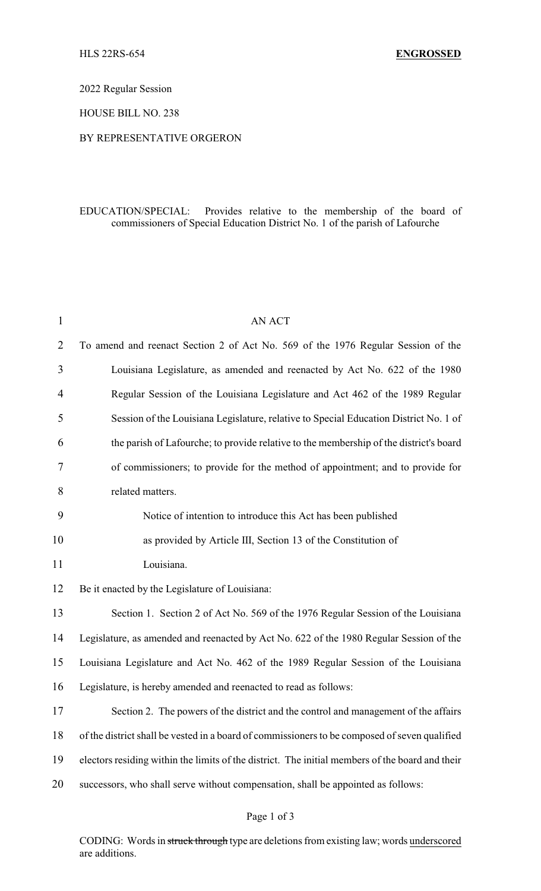2022 Regular Session

HOUSE BILL NO. 238

## BY REPRESENTATIVE ORGERON

## EDUCATION/SPECIAL: Provides relative to the membership of the board of commissioners of Special Education District No. 1 of the parish of Lafourche

| $\mathbf{1}$   | <b>AN ACT</b>                                                                                   |
|----------------|-------------------------------------------------------------------------------------------------|
| $\overline{2}$ | To amend and reenact Section 2 of Act No. 569 of the 1976 Regular Session of the                |
| 3              | Louisiana Legislature, as amended and reenacted by Act No. 622 of the 1980                      |
| 4              | Regular Session of the Louisiana Legislature and Act 462 of the 1989 Regular                    |
| 5              | Session of the Louisiana Legislature, relative to Special Education District No. 1 of           |
| 6              | the parish of Lafourche; to provide relative to the membership of the district's board          |
| 7              | of commissioners; to provide for the method of appointment; and to provide for                  |
| 8              | related matters.                                                                                |
| 9              | Notice of intention to introduce this Act has been published                                    |
| 10             | as provided by Article III, Section 13 of the Constitution of                                   |
| 11             | Louisiana.                                                                                      |
| 12             | Be it enacted by the Legislature of Louisiana:                                                  |
| 13             | Section 1. Section 2 of Act No. 569 of the 1976 Regular Session of the Louisiana                |
| 14             | Legislature, as amended and reenacted by Act No. 622 of the 1980 Regular Session of the         |
| 15             | Louisiana Legislature and Act No. 462 of the 1989 Regular Session of the Louisiana              |
| 16             | Legislature, is hereby amended and reenacted to read as follows:                                |
| 17             | Section 2. The powers of the district and the control and management of the affairs             |
| 18             | of the district shall be vested in a board of commissioners to be composed of seven qualified   |
| 19             | electors residing within the limits of the district. The initial members of the board and their |
| 20             | successors, who shall serve without compensation, shall be appointed as follows:                |
|                |                                                                                                 |

## Page 1 of 3

CODING: Words in struck through type are deletions from existing law; words underscored are additions.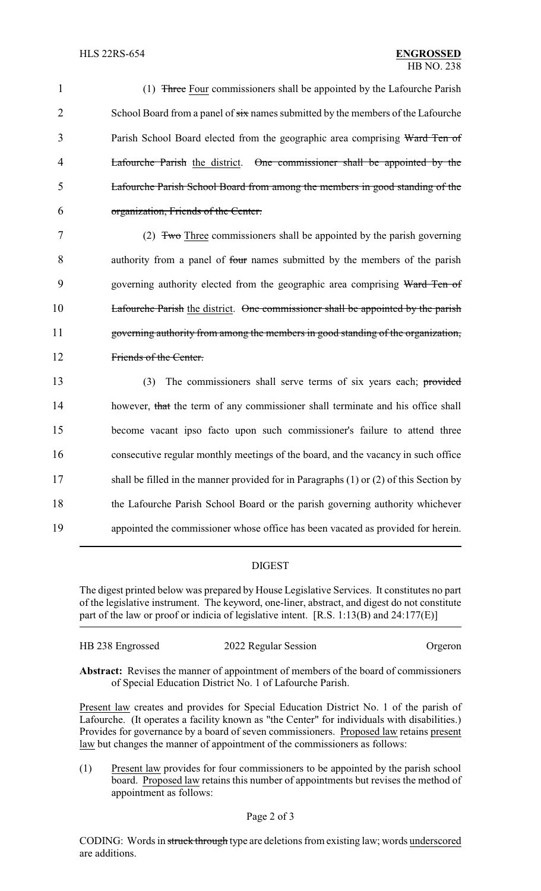1 (1) Three Four commissioners shall be appointed by the Lafourche Parish 2 School Board from a panel of  $\frac{1}{\sin \theta}$  names submitted by the members of the Lafourche 3 Parish School Board elected from the geographic area comprising Ward Ten of 4 Lafourche Parish the district. One commissioner shall be appointed by the 5 Lafourche Parish School Board from among the members in good standing of the 6 organization, Friends of the Center.

 (2) Two Three commissioners shall be appointed by the parish governing authority from a panel of four names submitted by the members of the parish 9 governing authority elected from the geographic area comprising Ward Ten of Lafourche Parish the district. One commissioner shall be appointed by the parish governing authority from among the members in good standing of the organization, Friends of the Center.

 (3) The commissioners shall serve terms of six years each; provided 14 however, that the term of any commissioner shall terminate and his office shall become vacant ipso facto upon such commissioner's failure to attend three consecutive regular monthly meetings of the board, and the vacancy in such office shall be filled in the manner provided for in Paragraphs (1) or (2) of this Section by the Lafourche Parish School Board or the parish governing authority whichever appointed the commissioner whose office has been vacated as provided for herein.

## DIGEST

The digest printed below was prepared by House Legislative Services. It constitutes no part of the legislative instrument. The keyword, one-liner, abstract, and digest do not constitute part of the law or proof or indicia of legislative intent. [R.S. 1:13(B) and 24:177(E)]

| Orgeron |
|---------|
|         |

**Abstract:** Revises the manner of appointment of members of the board of commissioners of Special Education District No. 1 of Lafourche Parish.

Present law creates and provides for Special Education District No. 1 of the parish of Lafourche. (It operates a facility known as "the Center" for individuals with disabilities.) Provides for governance by a board of seven commissioners. Proposed law retains present law but changes the manner of appointment of the commissioners as follows:

(1) Present law provides for four commissioners to be appointed by the parish school board. Proposed law retains this number of appointments but revises the method of appointment as follows: